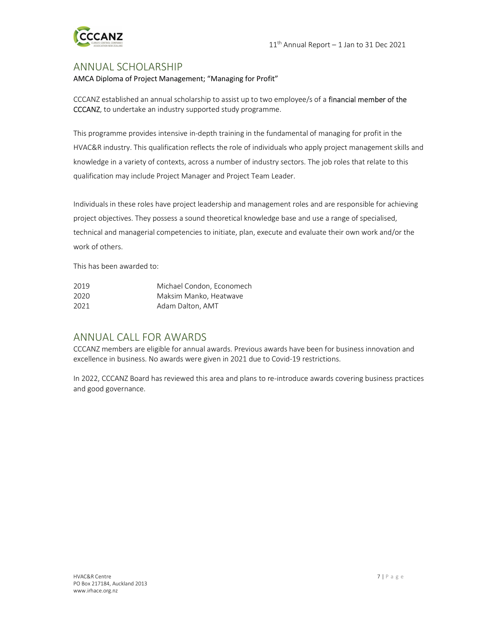

### ANNUAL SCHOLARSHIP

#### AMCA Diploma of Project Management; "Managing for Profit"

CCCANZ established an annual scholarship to assist up to two employee/s of a financial member of the CCCANZ, to undertake an industry supported study programme.

This programme provides intensive in-depth training in the fundamental of managing for profit in the HVAC&R industry. This qualification reflects the role of individuals who apply project management skills and knowledge in a variety of contexts, across a number of industry sectors. The job roles that relate to this qualification may include Project Manager and Project Team Leader.

Individuals in these roles have project leadership and management roles and are responsible for achieving project objectives. They possess a sound theoretical knowledge base and use a range of specialised, technical and managerial competencies to initiate, plan, execute and evaluate their own work and/or the work of others.

This has been awarded to:

| 2019 | Michael Condon, Economech |
|------|---------------------------|
| 2020 | Maksim Manko, Heatwave    |
| 2021 | Adam Dalton, AMT          |

### ANNUAL CALL FOR AWARDS

CCCANZ members are eligible for annual awards. Previous awards have been for business innovation and excellence in business. No awards were given in 2021 due to Covid-19 restrictions.

In 2022, CCCANZ Board has reviewed this area and plans to re-introduce awards covering business practices and good governance.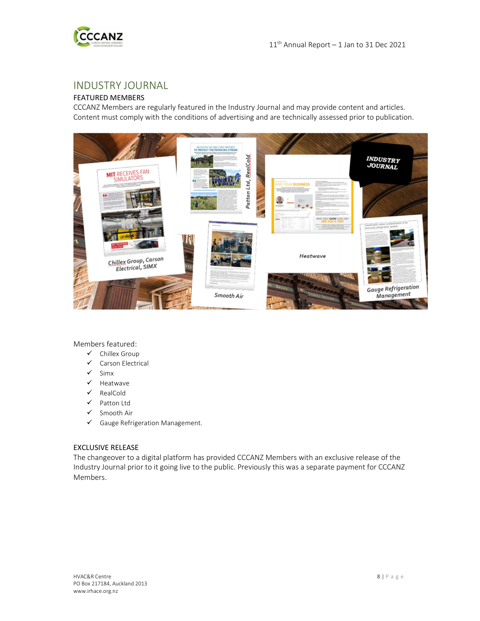

## INDUSTRY JOURNAL

### FEATURED MEMBERS

CCCANZ Members are regularly featured in the Industry Journal and may provide content and articles. Content must comply with the conditions of advertising and are technically assessed prior to publication.



Members featured:

- $\checkmark$  Chillex Group
- Carson Electrical
- $\checkmark$  Simx
- $\checkmark$  Heatwave
- $\checkmark$  RealCold
- $\checkmark$  Patton Ltd
- $\checkmark$  Smooth Air
- $\checkmark$  Gauge Refrigeration Management.

#### EXCLUSIVE RELEASE

The changeover to a digital platform has provided CCCANZ Members with an exclusive release of the Industry Journal prior to it going live to the public. Previously this was a separate payment for CCCANZ Members.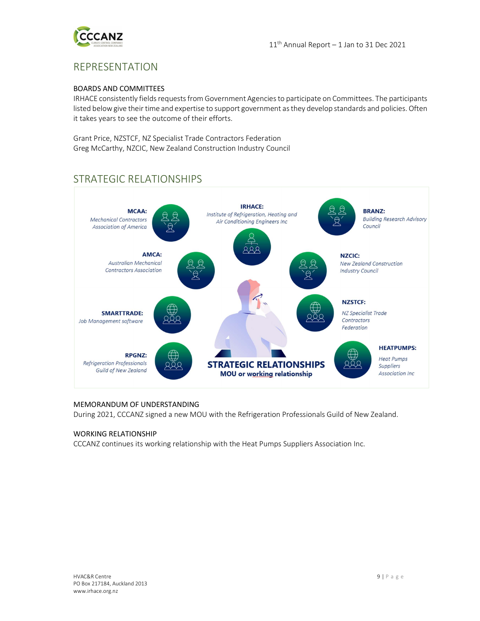

# REPRESENTATION

#### BOARDS AND COMMITTEES

IRHACE consistently fields requests from Government Agencies to participate on Committees. The participants listed below give their time and expertise to support government as they develop standards and policies. Often it takes years to see the outcome of their efforts.

Grant Price, NZSTCF, NZ Specialist Trade Contractors Federation Greg McCarthy, NZCIC, New Zealand Construction Industry Council

# STRATEGIC RELATIONSHIPS



#### MEMORANDUM OF UNDERSTANDING

During 2021, CCCANZ signed a new MOU with the Refrigeration Professionals Guild of New Zealand.

#### WORKING RELATIONSHIP

CCCANZ continues its working relationship with the Heat Pumps Suppliers Association Inc.